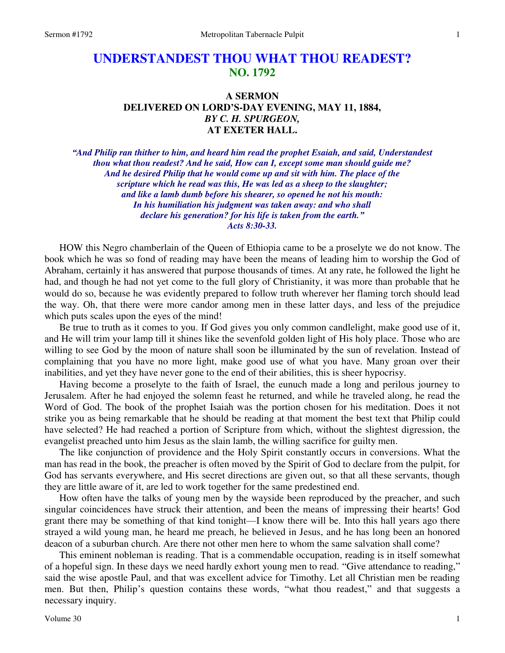# **UNDERSTANDEST THOU WHAT THOU READEST? NO. 1792**

### **A SERMON DELIVERED ON LORD'S-DAY EVENING, MAY 11, 1884,**  *BY C. H. SPURGEON,*  **AT EXETER HALL.**

*"And Philip ran thither to him, and heard him read the prophet Esaiah, and said, Understandest thou what thou readest? And he said, How can I, except some man should guide me? And he desired Philip that he would come up and sit with him. The place of the scripture which he read was this, He was led as a sheep to the slaughter; and like a lamb dumb before his shearer, so opened he not his mouth: In his humiliation his judgment was taken away: and who shall declare his generation? for his life is taken from the earth." Acts 8:30-33.* 

HOW this Negro chamberlain of the Queen of Ethiopia came to be a proselyte we do not know. The book which he was so fond of reading may have been the means of leading him to worship the God of Abraham, certainly it has answered that purpose thousands of times. At any rate, he followed the light he had, and though he had not yet come to the full glory of Christianity, it was more than probable that he would do so, because he was evidently prepared to follow truth wherever her flaming torch should lead the way. Oh, that there were more candor among men in these latter days, and less of the prejudice which puts scales upon the eyes of the mind!

 Be true to truth as it comes to you. If God gives you only common candlelight, make good use of it, and He will trim your lamp till it shines like the sevenfold golden light of His holy place. Those who are willing to see God by the moon of nature shall soon be illuminated by the sun of revelation. Instead of complaining that you have no more light, make good use of what you have. Many groan over their inabilities, and yet they have never gone to the end of their abilities, this is sheer hypocrisy.

 Having become a proselyte to the faith of Israel, the eunuch made a long and perilous journey to Jerusalem. After he had enjoyed the solemn feast he returned, and while he traveled along, he read the Word of God. The book of the prophet Isaiah was the portion chosen for his meditation. Does it not strike you as being remarkable that he should be reading at that moment the best text that Philip could have selected? He had reached a portion of Scripture from which, without the slightest digression, the evangelist preached unto him Jesus as the slain lamb, the willing sacrifice for guilty men.

 The like conjunction of providence and the Holy Spirit constantly occurs in conversions. What the man has read in the book, the preacher is often moved by the Spirit of God to declare from the pulpit, for God has servants everywhere, and His secret directions are given out, so that all these servants, though they are little aware of it, are led to work together for the same predestined end.

 How often have the talks of young men by the wayside been reproduced by the preacher, and such singular coincidences have struck their attention, and been the means of impressing their hearts! God grant there may be something of that kind tonight—I know there will be. Into this hall years ago there strayed a wild young man, he heard me preach, he believed in Jesus, and he has long been an honored deacon of a suburban church. Are there not other men here to whom the same salvation shall come?

 This eminent nobleman is reading. That is a commendable occupation, reading is in itself somewhat of a hopeful sign. In these days we need hardly exhort young men to read. "Give attendance to reading," said the wise apostle Paul, and that was excellent advice for Timothy. Let all Christian men be reading men. But then, Philip's question contains these words, "what thou readest," and that suggests a necessary inquiry.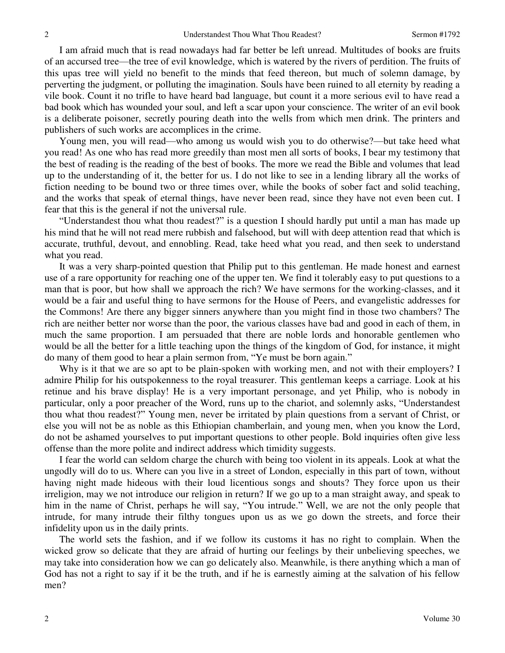I am afraid much that is read nowadays had far better be left unread. Multitudes of books are fruits of an accursed tree—the tree of evil knowledge, which is watered by the rivers of perdition. The fruits of this upas tree will yield no benefit to the minds that feed thereon, but much of solemn damage, by perverting the judgment, or polluting the imagination. Souls have been ruined to all eternity by reading a vile book. Count it no trifle to have heard bad language, but count it a more serious evil to have read a bad book which has wounded your soul, and left a scar upon your conscience. The writer of an evil book is a deliberate poisoner, secretly pouring death into the wells from which men drink. The printers and publishers of such works are accomplices in the crime.

 Young men, you will read—who among us would wish you to do otherwise?—but take heed what you read! As one who has read more greedily than most men all sorts of books, I bear my testimony that the best of reading is the reading of the best of books. The more we read the Bible and volumes that lead up to the understanding of it, the better for us. I do not like to see in a lending library all the works of fiction needing to be bound two or three times over, while the books of sober fact and solid teaching, and the works that speak of eternal things, have never been read, since they have not even been cut. I fear that this is the general if not the universal rule.

"Understandest thou what thou readest?" is a question I should hardly put until a man has made up his mind that he will not read mere rubbish and falsehood, but will with deep attention read that which is accurate, truthful, devout, and ennobling. Read, take heed what you read, and then seek to understand what you read.

 It was a very sharp-pointed question that Philip put to this gentleman. He made honest and earnest use of a rare opportunity for reaching one of the upper ten. We find it tolerably easy to put questions to a man that is poor, but how shall we approach the rich? We have sermons for the working-classes, and it would be a fair and useful thing to have sermons for the House of Peers, and evangelistic addresses for the Commons! Are there any bigger sinners anywhere than you might find in those two chambers? The rich are neither better nor worse than the poor, the various classes have bad and good in each of them, in much the same proportion. I am persuaded that there are noble lords and honorable gentlemen who would be all the better for a little teaching upon the things of the kingdom of God, for instance, it might do many of them good to hear a plain sermon from, "Ye must be born again."

Why is it that we are so apt to be plain-spoken with working men, and not with their employers? I admire Philip for his outspokenness to the royal treasurer. This gentleman keeps a carriage. Look at his retinue and his brave display! He is a very important personage, and yet Philip, who is nobody in particular, only a poor preacher of the Word, runs up to the chariot, and solemnly asks, "Understandest thou what thou readest?" Young men, never be irritated by plain questions from a servant of Christ, or else you will not be as noble as this Ethiopian chamberlain, and young men, when you know the Lord, do not be ashamed yourselves to put important questions to other people. Bold inquiries often give less offense than the more polite and indirect address which timidity suggests.

 I fear the world can seldom charge the church with being too violent in its appeals. Look at what the ungodly will do to us. Where can you live in a street of London, especially in this part of town, without having night made hideous with their loud licentious songs and shouts? They force upon us their irreligion, may we not introduce our religion in return? If we go up to a man straight away, and speak to him in the name of Christ, perhaps he will say, "You intrude." Well, we are not the only people that intrude, for many intrude their filthy tongues upon us as we go down the streets, and force their infidelity upon us in the daily prints.

 The world sets the fashion, and if we follow its customs it has no right to complain. When the wicked grow so delicate that they are afraid of hurting our feelings by their unbelieving speeches, we may take into consideration how we can go delicately also. Meanwhile, is there anything which a man of God has not a right to say if it be the truth, and if he is earnestly aiming at the salvation of his fellow men?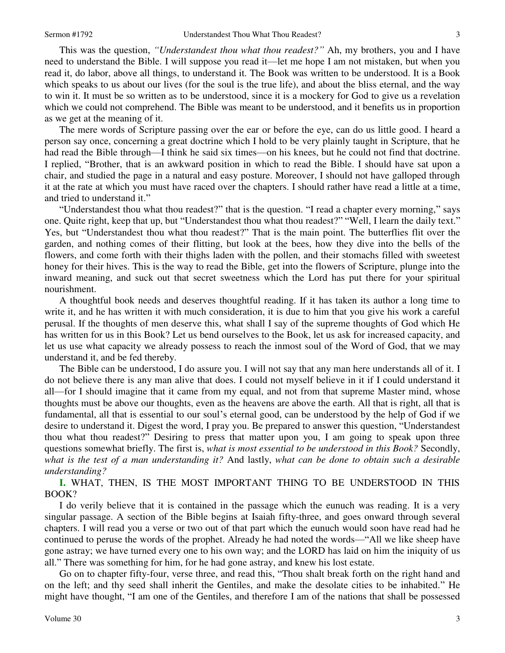This was the question, *"Understandest thou what thou readest?"* Ah, my brothers, you and I have need to understand the Bible. I will suppose you read it—let me hope I am not mistaken, but when you read it, do labor, above all things, to understand it. The Book was written to be understood. It is a Book which speaks to us about our lives (for the soul is the true life), and about the bliss eternal, and the way to win it. It must be so written as to be understood, since it is a mockery for God to give us a revelation which we could not comprehend. The Bible was meant to be understood, and it benefits us in proportion as we get at the meaning of it.

 The mere words of Scripture passing over the ear or before the eye, can do us little good. I heard a person say once, concerning a great doctrine which I hold to be very plainly taught in Scripture, that he had read the Bible through—I think he said six times—on his knees, but he could not find that doctrine. I replied, "Brother, that is an awkward position in which to read the Bible. I should have sat upon a chair, and studied the page in a natural and easy posture. Moreover, I should not have galloped through it at the rate at which you must have raced over the chapters. I should rather have read a little at a time, and tried to understand it."

"Understandest thou what thou readest?" that is the question. "I read a chapter every morning," says one. Quite right, keep that up, but "Understandest thou what thou readest?" "Well, I learn the daily text." Yes, but "Understandest thou what thou readest?" That is the main point. The butterflies flit over the garden, and nothing comes of their flitting, but look at the bees, how they dive into the bells of the flowers, and come forth with their thighs laden with the pollen, and their stomachs filled with sweetest honey for their hives. This is the way to read the Bible, get into the flowers of Scripture, plunge into the inward meaning, and suck out that secret sweetness which the Lord has put there for your spiritual nourishment.

 A thoughtful book needs and deserves thoughtful reading. If it has taken its author a long time to write it, and he has written it with much consideration, it is due to him that you give his work a careful perusal. If the thoughts of men deserve this, what shall I say of the supreme thoughts of God which He has written for us in this Book? Let us bend ourselves to the Book, let us ask for increased capacity, and let us use what capacity we already possess to reach the inmost soul of the Word of God, that we may understand it, and be fed thereby.

 The Bible can be understood, I do assure you. I will not say that any man here understands all of it. I do not believe there is any man alive that does. I could not myself believe in it if I could understand it all—for I should imagine that it came from my equal, and not from that supreme Master mind, whose thoughts must be above our thoughts, even as the heavens are above the earth. All that is right, all that is fundamental, all that is essential to our soul's eternal good, can be understood by the help of God if we desire to understand it. Digest the word, I pray you. Be prepared to answer this question, "Understandest thou what thou readest?" Desiring to press that matter upon you, I am going to speak upon three questions somewhat briefly. The first is, *what is most essential to be understood in this Book?* Secondly, *what is the test of a man understanding it?* And lastly, *what can be done to obtain such a desirable understanding?* 

**I.** WHAT, THEN, IS THE MOST IMPORTANT THING TO BE UNDERSTOOD IN THIS BOOK?

 I do verily believe that it is contained in the passage which the eunuch was reading. It is a very singular passage. A section of the Bible begins at Isaiah fifty-three, and goes onward through several chapters. I will read you a verse or two out of that part which the eunuch would soon have read had he continued to peruse the words of the prophet. Already he had noted the words—"All we like sheep have gone astray; we have turned every one to his own way; and the LORD has laid on him the iniquity of us all." There was something for him, for he had gone astray, and knew his lost estate.

 Go on to chapter fifty-four, verse three, and read this, "Thou shalt break forth on the right hand and on the left; and thy seed shall inherit the Gentiles, and make the desolate cities to be inhabited." He might have thought, "I am one of the Gentiles, and therefore I am of the nations that shall be possessed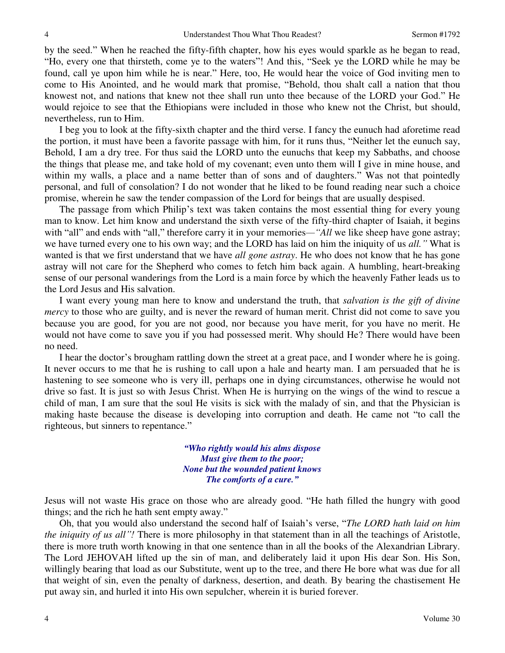by the seed." When he reached the fifty-fifth chapter, how his eyes would sparkle as he began to read, "Ho, every one that thirsteth, come ye to the waters"! And this, "Seek ye the LORD while he may be found, call ye upon him while he is near." Here, too, He would hear the voice of God inviting men to come to His Anointed, and he would mark that promise, "Behold, thou shalt call a nation that thou knowest not, and nations that knew not thee shall run unto thee because of the LORD your God." He would rejoice to see that the Ethiopians were included in those who knew not the Christ, but should, nevertheless, run to Him.

 I beg you to look at the fifty-sixth chapter and the third verse. I fancy the eunuch had aforetime read the portion, it must have been a favorite passage with him, for it runs thus, "Neither let the eunuch say, Behold, I am a dry tree. For thus said the LORD unto the eunuchs that keep my Sabbaths, and choose the things that please me, and take hold of my covenant; even unto them will I give in mine house, and within my walls, a place and a name better than of sons and of daughters." Was not that pointedly personal, and full of consolation? I do not wonder that he liked to be found reading near such a choice promise, wherein he saw the tender compassion of the Lord for beings that are usually despised.

 The passage from which Philip's text was taken contains the most essential thing for every young man to know. Let him know and understand the sixth verse of the fifty-third chapter of Isaiah, it begins with "all" and ends with "all," therefore carry it in your memories—"*All* we like sheep have gone astray; we have turned every one to his own way; and the LORD has laid on him the iniquity of us *all."* What is wanted is that we first understand that we have *all gone astray*. He who does not know that he has gone astray will not care for the Shepherd who comes to fetch him back again. A humbling, heart-breaking sense of our personal wanderings from the Lord is a main force by which the heavenly Father leads us to the Lord Jesus and His salvation.

 I want every young man here to know and understand the truth, that *salvation is the gift of divine mercy* to those who are guilty, and is never the reward of human merit. Christ did not come to save you because you are good, for you are not good, nor because you have merit, for you have no merit. He would not have come to save you if you had possessed merit. Why should He? There would have been no need.

 I hear the doctor's brougham rattling down the street at a great pace, and I wonder where he is going. It never occurs to me that he is rushing to call upon a hale and hearty man. I am persuaded that he is hastening to see someone who is very ill, perhaps one in dying circumstances, otherwise he would not drive so fast. It is just so with Jesus Christ. When He is hurrying on the wings of the wind to rescue a child of man, I am sure that the soul He visits is sick with the malady of sin, and that the Physician is making haste because the disease is developing into corruption and death. He came not "to call the righteous, but sinners to repentance."

> *"Who rightly would his alms dispose Must give them to the poor; None but the wounded patient knows The comforts of a cure."*

Jesus will not waste His grace on those who are already good. "He hath filled the hungry with good things; and the rich he hath sent empty away."

 Oh, that you would also understand the second half of Isaiah's verse, "*The LORD hath laid on him the iniquity of us all"!* There is more philosophy in that statement than in all the teachings of Aristotle, there is more truth worth knowing in that one sentence than in all the books of the Alexandrian Library. The Lord JEHOVAH lifted up the sin of man, and deliberately laid it upon His dear Son. His Son, willingly bearing that load as our Substitute, went up to the tree, and there He bore what was due for all that weight of sin, even the penalty of darkness, desertion, and death. By bearing the chastisement He put away sin, and hurled it into His own sepulcher, wherein it is buried forever.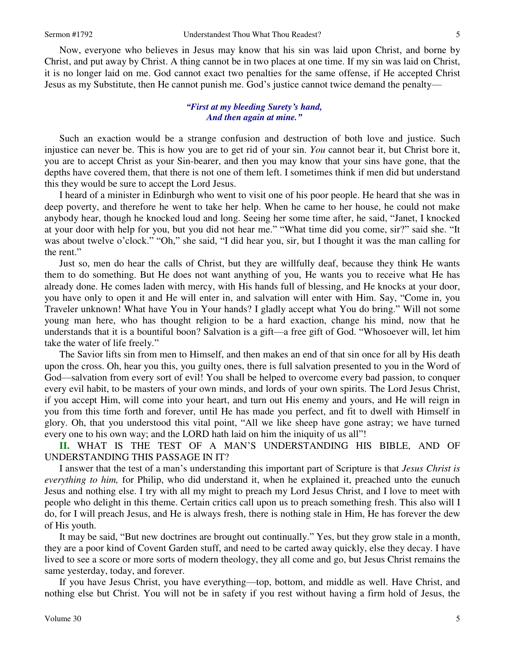Now, everyone who believes in Jesus may know that his sin was laid upon Christ, and borne by Christ, and put away by Christ. A thing cannot be in two places at one time. If my sin was laid on Christ, it is no longer laid on me. God cannot exact two penalties for the same offense, if He accepted Christ Jesus as my Substitute, then He cannot punish me. God's justice cannot twice demand the penalty—

#### *"First at my bleeding Surety's hand, And then again at mine."*

 Such an exaction would be a strange confusion and destruction of both love and justice. Such injustice can never be. This is how you are to get rid of your sin. *You* cannot bear it, but Christ bore it, you are to accept Christ as your Sin-bearer, and then you may know that your sins have gone, that the depths have covered them, that there is not one of them left. I sometimes think if men did but understand this they would be sure to accept the Lord Jesus.

 I heard of a minister in Edinburgh who went to visit one of his poor people. He heard that she was in deep poverty, and therefore he went to take her help. When he came to her house, he could not make anybody hear, though he knocked loud and long. Seeing her some time after, he said, "Janet, I knocked at your door with help for you, but you did not hear me." "What time did you come, sir?" said she. "It was about twelve o'clock." "Oh," she said, "I did hear you, sir, but I thought it was the man calling for the rent."

 Just so, men do hear the calls of Christ, but they are willfully deaf, because they think He wants them to do something. But He does not want anything of you, He wants you to receive what He has already done. He comes laden with mercy, with His hands full of blessing, and He knocks at your door, you have only to open it and He will enter in, and salvation will enter with Him. Say, "Come in, you Traveler unknown! What have You in Your hands? I gladly accept what You do bring." Will not some young man here, who has thought religion to be a hard exaction, change his mind, now that he understands that it is a bountiful boon? Salvation is a gift—a free gift of God. "Whosoever will, let him take the water of life freely."

 The Savior lifts sin from men to Himself, and then makes an end of that sin once for all by His death upon the cross. Oh, hear you this, you guilty ones, there is full salvation presented to you in the Word of God—salvation from every sort of evil! You shall be helped to overcome every bad passion, to conquer every evil habit, to be masters of your own minds, and lords of your own spirits. The Lord Jesus Christ, if you accept Him, will come into your heart, and turn out His enemy and yours, and He will reign in you from this time forth and forever, until He has made you perfect, and fit to dwell with Himself in glory. Oh, that you understood this vital point, "All we like sheep have gone astray; we have turned every one to his own way; and the LORD hath laid on him the iniquity of us all"!

**II.** WHAT IS THE TEST OF A MAN'S UNDERSTANDING HIS BIBLE, AND OF UNDERSTANDING THIS PASSAGE IN IT?

 I answer that the test of a man's understanding this important part of Scripture is that *Jesus Christ is everything to him,* for Philip, who did understand it, when he explained it, preached unto the eunuch Jesus and nothing else. I try with all my might to preach my Lord Jesus Christ, and I love to meet with people who delight in this theme. Certain critics call upon us to preach something fresh. This also will I do, for I will preach Jesus, and He is always fresh, there is nothing stale in Him, He has forever the dew of His youth.

 It may be said, "But new doctrines are brought out continually." Yes, but they grow stale in a month, they are a poor kind of Covent Garden stuff, and need to be carted away quickly, else they decay. I have lived to see a score or more sorts of modern theology, they all come and go, but Jesus Christ remains the same yesterday, today, and forever.

 If you have Jesus Christ, you have everything—top, bottom, and middle as well. Have Christ, and nothing else but Christ. You will not be in safety if you rest without having a firm hold of Jesus, the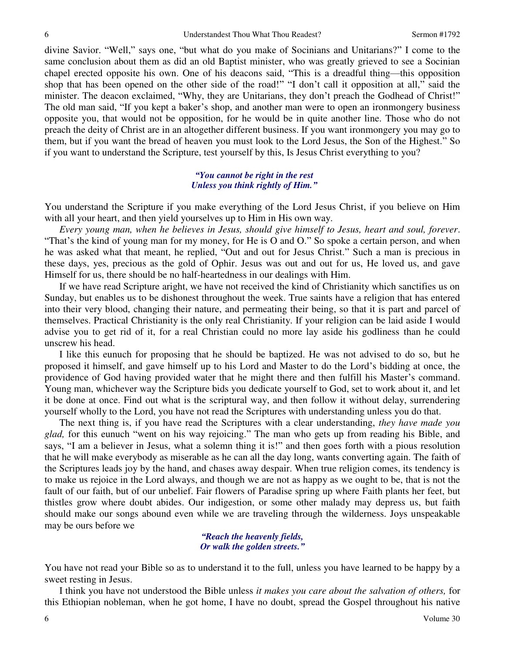divine Savior. "Well," says one, "but what do you make of Socinians and Unitarians?" I come to the same conclusion about them as did an old Baptist minister, who was greatly grieved to see a Socinian chapel erected opposite his own. One of his deacons said, "This is a dreadful thing—this opposition shop that has been opened on the other side of the road!" "I don't call it opposition at all," said the minister. The deacon exclaimed, "Why, they are Unitarians, they don't preach the Godhead of Christ!" The old man said, "If you kept a baker's shop, and another man were to open an ironmongery business opposite you, that would not be opposition, for he would be in quite another line. Those who do not preach the deity of Christ are in an altogether different business. If you want ironmongery you may go to them, but if you want the bread of heaven you must look to the Lord Jesus, the Son of the Highest." So if you want to understand the Scripture, test yourself by this, Is Jesus Christ everything to you?

#### *"You cannot be right in the rest Unless you think rightly of Him."*

You understand the Scripture if you make everything of the Lord Jesus Christ, if you believe on Him with all your heart, and then yield yourselves up to Him in His own way.

*Every young man, when he believes in Jesus, should give himself to Jesus, heart and soul, forever*. "That's the kind of young man for my money, for He is O and O." So spoke a certain person, and when he was asked what that meant, he replied, "Out and out for Jesus Christ." Such a man is precious in these days, yes, precious as the gold of Ophir. Jesus was out and out for us, He loved us, and gave Himself for us, there should be no half-heartedness in our dealings with Him.

 If we have read Scripture aright, we have not received the kind of Christianity which sanctifies us on Sunday, but enables us to be dishonest throughout the week. True saints have a religion that has entered into their very blood, changing their nature, and permeating their being, so that it is part and parcel of themselves. Practical Christianity is the only real Christianity. If your religion can be laid aside I would advise you to get rid of it, for a real Christian could no more lay aside his godliness than he could unscrew his head.

 I like this eunuch for proposing that he should be baptized. He was not advised to do so, but he proposed it himself, and gave himself up to his Lord and Master to do the Lord's bidding at once, the providence of God having provided water that he might there and then fulfill his Master's command. Young man, whichever way the Scripture bids you dedicate yourself to God, set to work about it, and let it be done at once. Find out what is the scriptural way, and then follow it without delay, surrendering yourself wholly to the Lord, you have not read the Scriptures with understanding unless you do that.

 The next thing is, if you have read the Scriptures with a clear understanding, *they have made you glad,* for this eunuch "went on his way rejoicing." The man who gets up from reading his Bible, and says, "I am a believer in Jesus, what a solemn thing it is!" and then goes forth with a pious resolution that he will make everybody as miserable as he can all the day long, wants converting again. The faith of the Scriptures leads joy by the hand, and chases away despair. When true religion comes, its tendency is to make us rejoice in the Lord always, and though we are not as happy as we ought to be, that is not the fault of our faith, but of our unbelief. Fair flowers of Paradise spring up where Faith plants her feet, but thistles grow where doubt abides. Our indigestion, or some other malady may depress us, but faith should make our songs abound even while we are traveling through the wilderness. Joys unspeakable may be ours before we

> *"Reach the heavenly fields, Or walk the golden streets."*

You have not read your Bible so as to understand it to the full, unless you have learned to be happy by a sweet resting in Jesus.

 I think you have not understood the Bible unless *it makes you care about the salvation of others,* for this Ethiopian nobleman, when he got home, I have no doubt, spread the Gospel throughout his native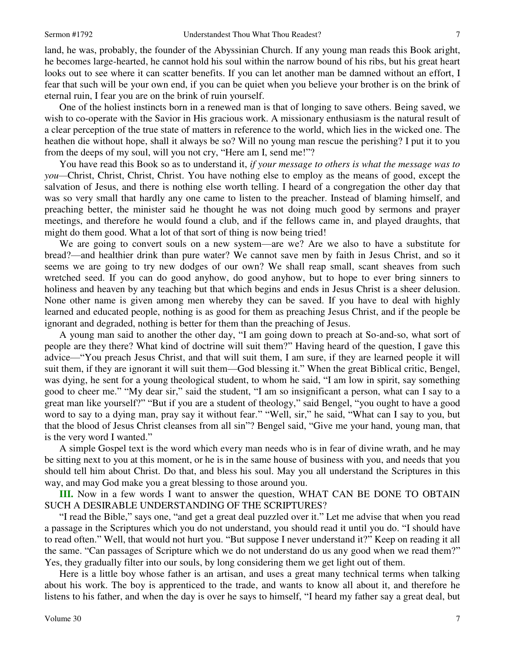land, he was, probably, the founder of the Abyssinian Church. If any young man reads this Book aright, he becomes large-hearted, he cannot hold his soul within the narrow bound of his ribs, but his great heart looks out to see where it can scatter benefits. If you can let another man be damned without an effort, I fear that such will be your own end, if you can be quiet when you believe your brother is on the brink of eternal ruin, I fear you are on the brink of ruin yourself.

 One of the holiest instincts born in a renewed man is that of longing to save others. Being saved, we wish to co-operate with the Savior in His gracious work. A missionary enthusiasm is the natural result of a clear perception of the true state of matters in reference to the world, which lies in the wicked one. The heathen die without hope, shall it always be so? Will no young man rescue the perishing? I put it to you from the deeps of my soul, will you not cry, "Here am I, send me!"?

 You have read this Book so as to understand it, *if your message to others is what the message was to you—*Christ, Christ, Christ, Christ. You have nothing else to employ as the means of good, except the salvation of Jesus, and there is nothing else worth telling. I heard of a congregation the other day that was so very small that hardly any one came to listen to the preacher. Instead of blaming himself, and preaching better, the minister said he thought he was not doing much good by sermons and prayer meetings, and therefore he would found a club, and if the fellows came in, and played draughts, that might do them good. What a lot of that sort of thing is now being tried!

 We are going to convert souls on a new system—are we? Are we also to have a substitute for bread?—and healthier drink than pure water? We cannot save men by faith in Jesus Christ, and so it seems we are going to try new dodges of our own? We shall reap small, scant sheaves from such wretched seed. If you can do good anyhow, do good anyhow, but to hope to ever bring sinners to holiness and heaven by any teaching but that which begins and ends in Jesus Christ is a sheer delusion. None other name is given among men whereby they can be saved. If you have to deal with highly learned and educated people, nothing is as good for them as preaching Jesus Christ, and if the people be ignorant and degraded, nothing is better for them than the preaching of Jesus.

 A young man said to another the other day, "I am going down to preach at So-and-so, what sort of people are they there? What kind of doctrine will suit them?" Having heard of the question, I gave this advice—"You preach Jesus Christ, and that will suit them, I am sure, if they are learned people it will suit them, if they are ignorant it will suit them—God blessing it." When the great Biblical critic, Bengel, was dying, he sent for a young theological student, to whom he said, "I am low in spirit, say something good to cheer me." "My dear sir," said the student, "I am so insignificant a person, what can I say to a great man like yourself?" "But if you are a student of theology," said Bengel, "you ought to have a good word to say to a dying man, pray say it without fear." "Well, sir," he said, "What can I say to you, but that the blood of Jesus Christ cleanses from all sin"? Bengel said, "Give me your hand, young man, that is the very word I wanted."

 A simple Gospel text is the word which every man needs who is in fear of divine wrath, and he may be sitting next to you at this moment, or he is in the same house of business with you, and needs that you should tell him about Christ. Do that, and bless his soul. May you all understand the Scriptures in this way, and may God make you a great blessing to those around you.

**III.** Now in a few words I want to answer the question, WHAT CAN BE DONE TO OBTAIN SUCH A DESIRABLE UNDERSTANDING OF THE SCRIPTURES?

"I read the Bible," says one, "and get a great deal puzzled over it." Let me advise that when you read a passage in the Scriptures which you do not understand, you should read it until you do. "I should have to read often." Well, that would not hurt you. "But suppose I never understand it?" Keep on reading it all the same. "Can passages of Scripture which we do not understand do us any good when we read them?" Yes, they gradually filter into our souls, by long considering them we get light out of them.

 Here is a little boy whose father is an artisan, and uses a great many technical terms when talking about his work. The boy is apprenticed to the trade, and wants to know all about it, and therefore he listens to his father, and when the day is over he says to himself, "I heard my father say a great deal, but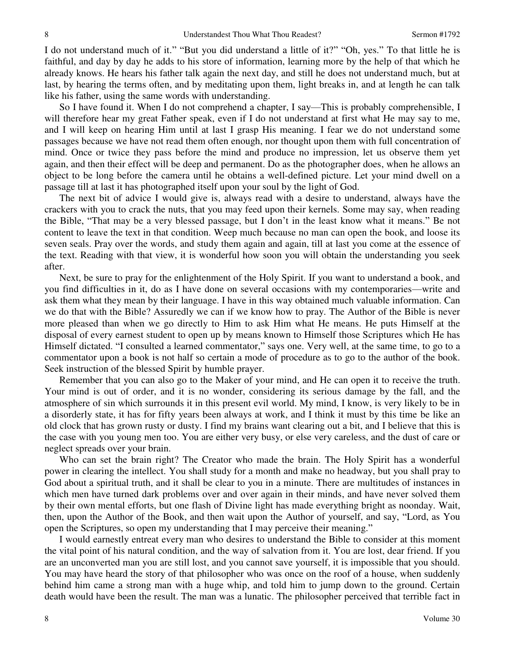I do not understand much of it." "But you did understand a little of it?" "Oh, yes." To that little he is faithful, and day by day he adds to his store of information, learning more by the help of that which he already knows. He hears his father talk again the next day, and still he does not understand much, but at last, by hearing the terms often, and by meditating upon them, light breaks in, and at length he can talk like his father, using the same words with understanding.

 So I have found it. When I do not comprehend a chapter, I say—This is probably comprehensible, I will therefore hear my great Father speak, even if I do not understand at first what He may say to me, and I will keep on hearing Him until at last I grasp His meaning. I fear we do not understand some passages because we have not read them often enough, nor thought upon them with full concentration of mind. Once or twice they pass before the mind and produce no impression, let us observe them yet again, and then their effect will be deep and permanent. Do as the photographer does, when he allows an object to be long before the camera until he obtains a well-defined picture. Let your mind dwell on a passage till at last it has photographed itself upon your soul by the light of God.

 The next bit of advice I would give is, always read with a desire to understand, always have the crackers with you to crack the nuts, that you may feed upon their kernels. Some may say, when reading the Bible, "That may be a very blessed passage, but I don't in the least know what it means." Be not content to leave the text in that condition. Weep much because no man can open the book, and loose its seven seals. Pray over the words, and study them again and again, till at last you come at the essence of the text. Reading with that view, it is wonderful how soon you will obtain the understanding you seek after.

 Next, be sure to pray for the enlightenment of the Holy Spirit. If you want to understand a book, and you find difficulties in it, do as I have done on several occasions with my contemporaries—write and ask them what they mean by their language. I have in this way obtained much valuable information. Can we do that with the Bible? Assuredly we can if we know how to pray. The Author of the Bible is never more pleased than when we go directly to Him to ask Him what He means. He puts Himself at the disposal of every earnest student to open up by means known to Himself those Scriptures which He has Himself dictated. "I consulted a learned commentator," says one. Very well, at the same time, to go to a commentator upon a book is not half so certain a mode of procedure as to go to the author of the book. Seek instruction of the blessed Spirit by humble prayer.

 Remember that you can also go to the Maker of your mind, and He can open it to receive the truth. Your mind is out of order, and it is no wonder, considering its serious damage by the fall, and the atmosphere of sin which surrounds it in this present evil world. My mind, I know, is very likely to be in a disorderly state, it has for fifty years been always at work, and I think it must by this time be like an old clock that has grown rusty or dusty. I find my brains want clearing out a bit, and I believe that this is the case with you young men too. You are either very busy, or else very careless, and the dust of care or neglect spreads over your brain.

 Who can set the brain right? The Creator who made the brain. The Holy Spirit has a wonderful power in clearing the intellect. You shall study for a month and make no headway, but you shall pray to God about a spiritual truth, and it shall be clear to you in a minute. There are multitudes of instances in which men have turned dark problems over and over again in their minds, and have never solved them by their own mental efforts, but one flash of Divine light has made everything bright as noonday. Wait, then, upon the Author of the Book, and then wait upon the Author of yourself, and say, "Lord, as You open the Scriptures, so open my understanding that I may perceive their meaning."

 I would earnestly entreat every man who desires to understand the Bible to consider at this moment the vital point of his natural condition, and the way of salvation from it. You are lost, dear friend. If you are an unconverted man you are still lost, and you cannot save yourself, it is impossible that you should. You may have heard the story of that philosopher who was once on the roof of a house, when suddenly behind him came a strong man with a huge whip, and told him to jump down to the ground. Certain death would have been the result. The man was a lunatic. The philosopher perceived that terrible fact in